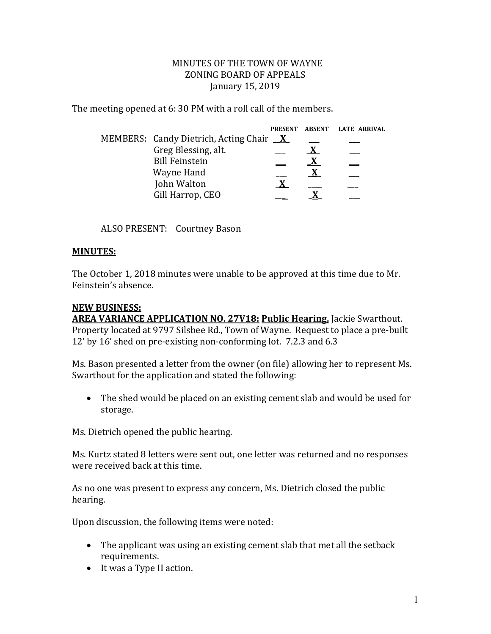## MINUTES OF THE TOWN OF WAYNE ZONING BOARD OF APPEALS January 15, 2019

The meeting opened at 6: 30 PM with a roll call of the members.

|                                                | <b>PRESENT</b> | <b>ABSENT</b> | LATE ARRIVAL |
|------------------------------------------------|----------------|---------------|--------------|
| MEMBERS: Candy Dietrich, Acting Chair <u>X</u> |                |               |              |
| Greg Blessing, alt.                            |                |               |              |
| <b>Bill Feinstein</b>                          |                |               |              |
| Wayne Hand                                     |                |               |              |
| John Walton                                    |                |               |              |
| Gill Harrop, CEO                               |                |               |              |

ALSO PRESENT: Courtney Bason

## **MINUTES:**

The October 1, 2018 minutes were unable to be approved at this time due to Mr. Feinstein's absence.

## **NEW BUSINESS:**

**AREA VARIANCE APPLICATION NO. 27V18: Public Hearing,** Jackie Swarthout. Property located at 9797 Silsbee Rd., Town of Wayne. Request to place a pre-built 12' by 16' shed on pre-existing non-conforming lot. 7.2.3 and 6.3

Ms. Bason presented a letter from the owner (on file) allowing her to represent Ms. Swarthout for the application and stated the following:

 The shed would be placed on an existing cement slab and would be used for storage.

Ms. Dietrich opened the public hearing.

Ms. Kurtz stated 8 letters were sent out, one letter was returned and no responses were received back at this time.

As no one was present to express any concern, Ms. Dietrich closed the public hearing.

Upon discussion, the following items were noted:

- The applicant was using an existing cement slab that met all the setback requirements.
- It was a Type II action.